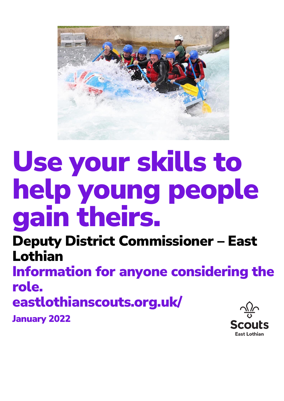

# Use your skills to help young people gain theirs.

Deputy District Commissioner – East Lothian Information for anyone considering the role. eastlothianscouts.org.uk/ January 2022**Scouts** 

**Fast Lothian**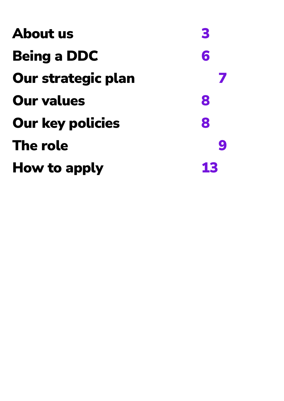| About us                  | 3  |
|---------------------------|----|
| <b>Being a DDC</b>        | 6  |
| <b>Our strategic plan</b> |    |
| <b>Our values</b>         | 8  |
| <b>Our key policies</b>   | 8  |
| The role                  | g  |
| How to apply              | 13 |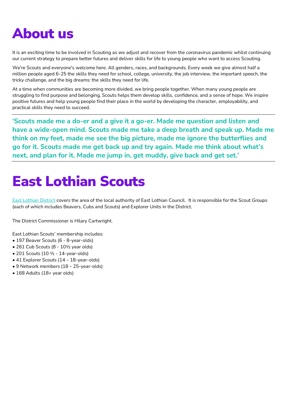# About us

It is an exciting time to be involved in Scouting as we adjust and recover from the coronavirus pandemic whilst continuing our current strategy to prepare better futures and deliver skills for life to young people who want to access Scouting.

We're Scouts and everyone's welcome here. All genders, races, and backgrounds. Every week we give almost half a million people aged 6-25 the skills they need for school, college, university, the job interview, the important speech, the tricky challenge, and the big dreams: the skills they need for life.

At a time when communities are becoming more divided, we bring people together. When many young people are struggling to find purpose and belonging, Scouts helps them develop skills, confidence, and a sense of hope. We inspire positive futures and help young people find their place in the world by developing the character, employability, and practical skills they need to succeed.

**'Scouts made me a do-er and a give it a go-er. Made me question and listen and have a wide-open mind. Scouts made me take a deep breath and speak up. Made me think on my feet, made me see the big picture, made me ignore the butterflies and go for it. Scouts made me get back up and try again. Made me think about what's next, and plan for it. Made me jump in, get muddy, give back and get set.'**

# East Lothian Scouts

[East Lothian District](https://www.eastlothianscouts.org.uk/) covers the area of the local authority of East Lothian Council. It is responsible for the Scout Groups (each of which includes Beavers, Cubs and Scouts) and Explorer Units in the District.

The District Commissioner is Hilary Cartwright.

East Lothian Scouts' membership includes:

- 197 Beaver Scouts (6 8-year-olds)
- 261 Cub Scouts (8 10½ year olds)
- 201 Scouts (10 ½ 14-year-olds)
- 41 Explorer Scouts (14 18-year-olds)
- 9 Network members (18 25-year-olds)
- 168 Adults (18+ year olds)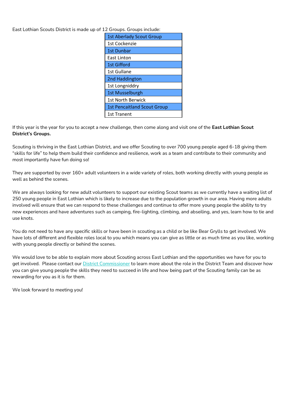East Lothian Scouts District is made up of 12 Groups. Groups include:

If this year is the year for you to accept a new challenge, then come along and visit one of the **East Lothian Scout District's Groups.**

Scouting is thriving in the East Lothian District, and we offer Scouting to over 700 young people aged 6-18 giving them "skills for life" to help them build their confidence and resilience, work as a team and contribute to their community and most importantly have fun doing so!

They are supported by over 160+ adult volunteers in a wide variety of roles, both working directly with young people as well as behind the scenes.

We are always looking for new adult volunteers to support our existing Scout teams as we currently have a waiting list of 250 young people in East Lothian which is likely to increase due to the population growth in our area. Having more adults involved will ensure that we can respond to these challenges and continue to offer more young people the ability to try new experiences and have adventures such as camping, fire-lighting, climbing, and abseiling, and yes, learn how to tie and use knots.

You do not need to have any specific skills or have been in scouting as a child or be like Bear Grylls to get involved. We have lots of different and flexible roles local to you which means you can give as little or as much time as you like, working with young people directly or behind the scenes.

We would love to be able to explain more about Scouting across East Lothian and the opportunities we have for you to get involved. Please contact our [District Commissioner](mailto:dc@eastlothianscouts.org.uk) to learn more about the role in the District Team and discover how you can give young people the skills they need to succeed in life and how being part of the Scouting family can be as rewarding for you as it is for them.

We look forward to meeting you!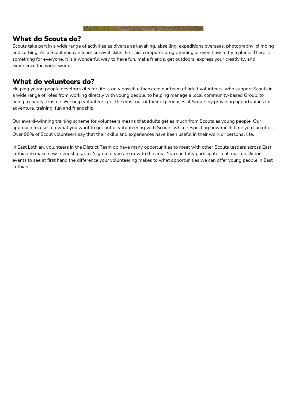#### What do Scouts do?

Scouts take part in a wide range of activities as diverse as kayaking, abseiling, expeditions overseas, photography, climbing and zorbing. As a Scout you can learn survival skills, first aid, computer programming or even how to fly a plane. There is something for everyone. It is a wonderful way to have fun, make friends, get outdoors, express your creativity, and experience the wider world.

### What do volunteers do?

Helping young people develop skills for life is only possible thanks to our team of adult volunteers, who support Scouts in a wide range of roles from working directly with young people, to helping manage a local community-based Group, to being a charity Trustee. We help volunteers get the most out of their experiences at Scouts by providing opportunities for adventure, training, fun and friendship.

Our award-winning training scheme for volunteers means that adults get as much from Scouts as young people. Our approach focuses on what you want to get out of volunteering with Scouts, while respecting how much time you can offer. Over 90% of Scout volunteers say that their skills and experiences have been useful in their work or personal life.

In East Lothian, volunteers in the District Team do have many opportunities to meet with other Scouts leaders across East Lothian to make new friendships, so it's great if you are new to the area. You can fully participate in all our fun District events to see at first hand the difference your volunteering makes to what opportunities we can offer young people in East Lothian.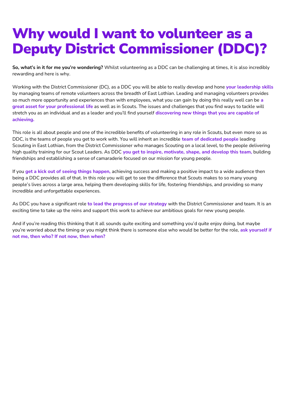# Why would I want to volunteer as a Deputy District Commissioner (DDC)?

**So, what's in it for me you're wondering?** Whilst volunteering as a DDC can be challenging at times, it is also incredibly rewarding and here is why.

Working with the District Commissioner (DC), as a DDC you will be able to really develop and hone **your leadership skills**  by managing teams of remote volunteers across the breadth of East Lothian. Leading and managing volunteers provides so much more opportunity and experiences than with employees, what you can gain by doing this really well can be **a great asset for your professional life** as well as in Scouts. The issues and challenges that you find ways to tackle will stretch you as an individual and as a leader and you'll find yourself **discovering new things that you are capable of achieving.**

This role is all about people and one of the incredible benefits of volunteering in any role in Scouts, but even more so as DDC, is the teams of people you get to work with. You will inherit an incredible **team of dedicated people** leading Scouting in East Lothian, from the District Commissioner who manages Scouting on a local level, to the people delivering high quality training for our Scout Leaders. As DDC **you get to inspire, motivate, shape, and develop this team,** building friendships and establishing a sense of camaraderie focused on our mission for young people.

If you **get a kick out of seeing things happen,** achieving success and making a positive impact to a wide audience then being a DDC provides all of that. In this role you will get to see the difference that Scouts makes to so many young people's lives across a large area, helping them developing skills for life, fostering friendships, and providing so many incredible and unforgettable experiences.

As DDC you have a significant role **to lead the progress of our strategy** with the District Commissioner and team. It is an exciting time to take up the reins and support this work to achieve our ambitious goals for new young people.

And if you're reading this thinking that it all sounds quite exciting and something you'd quite enjoy doing, but maybe you're worried about the timing or you might think there is someone else who would be better for the role, **ask yourself if not me, then who? If not now, then when?**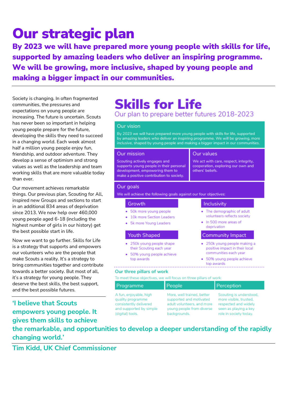# Our strategic plan

By 2023 we will have prepared more young people with skills for life, supported by amazing leaders who deliver an inspiring programme. We will be growing, more inclusive, shaped by young people and making a bigger impact in our communities.

Society is changing. In often fragmented communities, the pressures and expectations on young people are increasing. The future is uncertain. Scouts has never been so important in helping young people prepare for the future, developing the skills they need to succeed in a changing world. Each week almost half a million young people enjoy fun, friendship, and outdoor adventure. They develop a sense of optimism and strong values as well as the leadership and team working skills that are more valuable today than ever.

Our movement achieves remarkable things. Our previous plan, Scouting for All, inspired new Groups and sections to start in an additional 834 areas of deprivation since 2013. We now help over 460,000 young people aged 6-18 (including the highest number of girls in our history) get the best possible start in life.

Now we want to go further. Skills for Life is a strategy that supports and empowers our volunteers who are the people that make Scouts a reality. It's a strategy to bring communities together and contribute towards a better society. But most of all, it's a strategy for young people. They deserve the best skills, the best support, and the best possible futures.

**'I believe that Scouts empowers young people. It gives them skills to achieve** 

# **Skills for Life**

### Our plan to prepare better futures 2018-2023

#### Our vision

By 2023 we will have prepared more young people with skills for life, supported by amazing leaders who deliver an inspiring programme. We will be growing, more inclusive, shaped by young people and making a bigger impact in our communities.

#### Our mission

Scouting actively engages and supports young people in their personal development, empowering them to make a positive contribution to society.

#### Our values

We act with care, respect, integrity, cooperation, exploring our own and others' beliefs.

#### Our goals

We will achieve the following goals against our four objectives:

#### Growth

- · 50k more young people
- . 10k more Section Leaders
- · 5k more Young Leaders

#### **Youth Shaped**

- · 250k young people shape their Scouting each year
- · 50% young people achieve top awards

#### Inclusivity

- The demographic of adult volunteers reflects society
- . In 500 more areas of deprivation

#### Community Impact

- · 250k young people making a positive impact in their local communities each year
- · 50% young people achieve top awards

#### Our three pillars of work

To meet these objectives, we will focus on three pillars of work:

| Programme               | People                     | Perception              |
|-------------------------|----------------------------|-------------------------|
| A fun, enjoyable, high  | More, well trained, better | Scouting is understood, |
| quality programme       | supported and motivated    | more visible, trusted.  |
| consistently delivered  | adult volunteers, and more | respected and widely    |
| and supported by simple | young people from diverse  | seen as playing a key   |
| (digital) tools.        | backgrounds.               | role in society today.  |

**the remarkable, and opportunities to develop a deeper understanding of the rapidly changing world.'** 

**Tim Kidd, UK Chief Commissioner**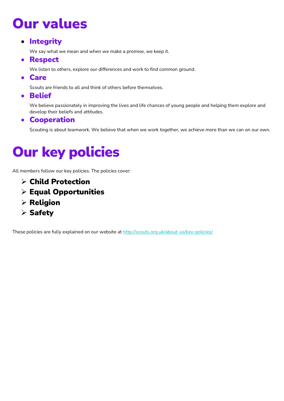# Our values

### • Integrity

We say what we mean and when we make a promise, we keep it.

### • Respect

We listen to others, explore our differences and work to find common ground.

• Care

Scouts are friends to all and think of others before themselves.

• Belief

We believe passionately in improving the lives and life chances of young people and helping them explore and develop their beliefs and attitudes.

### • Cooperation

Scouting is about teamwork. We believe that when we work together, we achieve more than we can on our own.

# Our key policies

All members follow our key policies. The policies cover:

- ➢ Child Protection
- ➢ Equal Opportunities
- ➢ Religion
- ➢ Safety

These policies are fully explained on our website at<http://scouts.org.uk/about-us/key-policies/>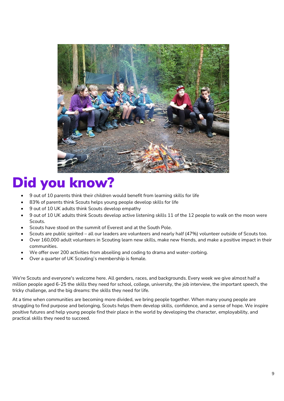

# Did you know?

- 9 out of 10 parents think their children would benefit from learning skills for life
- 83% of parents think Scouts helps young people develop skills for life
- 9 out of 10 UK adults think Scouts develop empathy
- 9 out of 10 UK adults think Scouts develop active listening skills 11 of the 12 people to walk on the moon were Scouts.
- Scouts have stood on the summit of Everest and at the South Pole.
- Scouts are public spirited all our leaders are volunteers and nearly half (47%) volunteer outside of Scouts too.
- Over 160,000 adult volunteers in Scouting learn new skills, make new friends, and make a positive impact in their communities.
- We offer over 200 activities from abseiling and coding to drama and water-zorbing.
- Over a quarter of UK Scouting's membership is female.

We're Scouts and everyone's welcome here. All genders, races, and backgrounds. Every week we give almost half a million people aged 6-25 the skills they need for school, college, university, the job interview, the important speech, the tricky challenge, and the big dreams: the skills they need for life.

At a time when communities are becoming more divided, we bring people together. When many young people are struggling to find purpose and belonging, Scouts helps them develop skills, confidence, and a sense of hope. We inspire positive futures and help young people find their place in the world by developing the character, employability, and practical skills they need to succeed.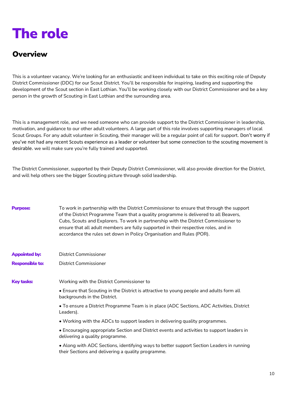# The role

# **Overview**

This is a volunteer vacancy. We're looking for an enthusiastic and keen individual to take on this exciting role of Deputy District Commissioner (DDC) for our Scout District. You'll be responsible for inspiring, leading and supporting the development of the Scout section in East Lothian. You'll be working closely with our District Commissioner and be a key person in the growth of Scouting in East Lothian and the surrounding area.

This is a management role, and we need someone who can provide support to the District Commissioner in leadership, motivation, and guidance to our other adult volunteers. A large part of this role involves supporting managers of local Scout Groups. For any adult volunteer in Scouting, their manager will be a regular point of call for support. Don't worry if you've not had any recent Scouts experience as a leader or volunteer but some connection to the scouting movement is desirable. we will make sure you're fully trained and supported.

The District Commissioner, supported by their Deputy District Commissioner, will also provide direction for the District, and will help others see the bigger Scouting picture through solid leadership.

| <b>Purpose:</b>        | To work in partnership with the District Commissioner to ensure that through the support<br>of the District Programme Team that a quality programme is delivered to all Beavers,<br>Cubs, Scouts and Explorers. To work in partnership with the District Commissioner to<br>ensure that all adult members are fully supported in their respective roles, and in<br>accordance the rules set down in Policy Organisation and Rules (POR). |
|------------------------|------------------------------------------------------------------------------------------------------------------------------------------------------------------------------------------------------------------------------------------------------------------------------------------------------------------------------------------------------------------------------------------------------------------------------------------|
| <b>Appointed by:</b>   | District Commissioner                                                                                                                                                                                                                                                                                                                                                                                                                    |
| <b>Responsible to:</b> | District Commissioner                                                                                                                                                                                                                                                                                                                                                                                                                    |
| <b>Key tasks:</b>      | Working with the District Commissioner to                                                                                                                                                                                                                                                                                                                                                                                                |
|                        | • Ensure that Scouting in the District is attractive to young people and adults form all<br>backgrounds in the District.                                                                                                                                                                                                                                                                                                                 |
|                        | • To ensure a District Programme Team is in place (ADC Sections, ADC Activities, District<br>Leaders).                                                                                                                                                                                                                                                                                                                                   |
|                        | • Working with the ADCs to support leaders in delivering quality programmes.                                                                                                                                                                                                                                                                                                                                                             |
|                        | • Encouraging appropriate Section and District events and activities to support leaders in<br>delivering a quality programme.                                                                                                                                                                                                                                                                                                            |
|                        | • Along with ADC Sections, identifying ways to better support Section Leaders in running<br>their Sections and delivering a quality programme.                                                                                                                                                                                                                                                                                           |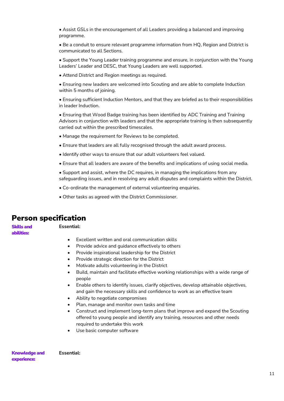• Assist GSLs in the encouragement of all Leaders providing a balanced and improving programme.

• Be a conduit to ensure relevant programme information from HQ, Region and District is communicated to all Sections.

• Support the Young Leader training programme and ensure, in conjunction with the Young Leaders' Leader and DESC, that Young Leaders are well supported.

• Attend District and Region meetings as required.

• Ensuring new leaders are welcomed into Scouting and are able to complete Induction within 5 months of joining.

• Ensuring sufficient Induction Mentors, and that they are briefed as to their responsibilities in leader Induction.

• Ensuring that Wood Badge training has been identified by ADC Training and Training Advisors in conjunction with leaders and that the appropriate training is then subsequently carried out within the prescribed timescales.

- Manage the requirement for Reviews to be completed.
- Ensure that leaders are all fully recognised through the adult award process.
- Identify other ways to ensure that our adult volunteers feel valued.
- Ensure that all leaders are aware of the benefits and implications of using social media.
- Support and assist, where the DC requires, in managing the implications from any safeguarding issues, and in resolving any adult disputes and complaints within the District.
- Co-ordinate the management of external volunteering enquiries.
- Other tasks as agreed with the District Commissioner.

### Person specification

Skills and abilities:

#### **Essential:**

- Excellent written and oral communication skills
- Provide advice and quidance effectively to others
- Provide inspirational leadership for the District
- Provide strategic direction for the District
- Motivate adults volunteering in the District
- Build, maintain and facilitate effective working relationships with a wide range of people
- Enable others to identify issues, clarify objectives, develop attainable objectives, and gain the necessary skills and confidence to work as an effective team
- Ability to negotiate compromises
- Plan, manage and monitor own tasks and time
- Construct and implement long-term plans that improve and expand the Scouting offered to young people and identify any training, resources and other needs required to undertake this work
- Use basic computer software

Knowledge and experience: **Essential:**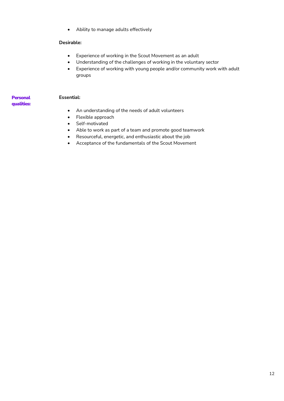• Ability to manage adults effectively

#### **Desirable:**

- Experience of working in the Scout Movement as an adult
- Understanding of the challenges of working in the voluntary sector
- Experience of working with young people and/or community work with adult groups

#### **Essential:**

- **Personal** qualities:
- An understanding of the needs of adult volunteers
- Flexible approach
- Self-motivated
- Able to work as part of a team and promote good teamwork
- Resourceful, energetic, and enthusiastic about the job
- Acceptance of the fundamentals of the Scout Movement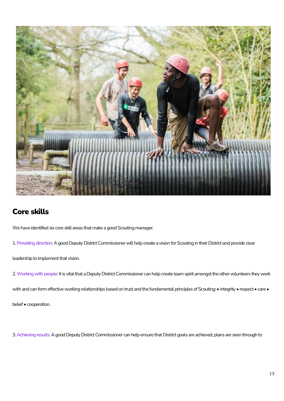

# Core skills

We have identified six core skill areas that make a good Scouting manager:

1. Providing direction: A good Deputy District Commissioner will help create a vision for Scouting in their District and provide clear

leadership to implement that vision.

2. Working with people: It is vital that a Deputy District Commissioner can help create team spirit amongst the other volunteers they work

with and can form effective working relationships based on trust and the fundamental principles of Scouting: • integrity • respect • care •

belief • cooperation.

3. Achieving results: A good Deputy District Commissioner can help ensure that District goals are achieved, plans are seen through to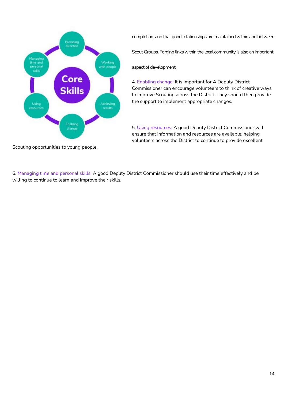

completion, and that good relationships are maintained within and between Scout Groups. Forging links within the local community is also an important

aspect of development.

4. Enabling change: It is important for A Deputy District Commissioner can encourage volunteers to think of creative ways to improve Scouting across the District. They should then provide the support to implement appropriate changes.

5. Using resources: A good Deputy District Commissioner will ensure that information and resources are available, helping volunteers across the District to continue to provide excellent

Scouting opportunities to young people.

6. Managing time and personal skills: A good Deputy District Commissioner should use their time effectively and be willing to continue to learn and improve their skills.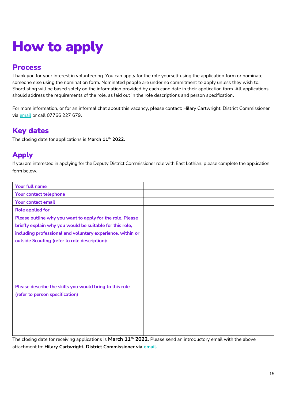# How to apply

### Process

Thank you for your interest in volunteering. You can apply for the role yourself using the application form or nominate someone else using the nomination form. Nominated people are under no commitment to apply unless they wish to. Shortlisting will be based solely on the information provided by each candidate in their application form. All applications should address the requirements of the role, as laid out in the role descriptions and person specification.

For more information, or for an informal chat about this vacancy, please contact: Hilary Cartwright, District Commissioner via [email](mailto:mailto@dc@eastlothianscouts.org.uk) or call 07766 227 679.

## Key dates

The closing date for applications is **March 11th 2022.**

### Apply

If you are interested in applying for the Deputy District Commissioner role with East Lothian, please complete the application form below.

| Your full name                                             |  |
|------------------------------------------------------------|--|
| Your contact telephone                                     |  |
| Your contact email                                         |  |
| <b>Role applied for</b>                                    |  |
| Please outline why you want to apply for the role. Please  |  |
| briefly explain why you would be suitable for this role,   |  |
| including professional and voluntary experience, within or |  |
| outside Scouting (refer to role description):              |  |
|                                                            |  |
|                                                            |  |
|                                                            |  |
|                                                            |  |
|                                                            |  |
| Please describe the skills you would bring to this role    |  |
| (refer to person specification)                            |  |
|                                                            |  |
|                                                            |  |
|                                                            |  |
|                                                            |  |

The closing date for receiving applications is **March 11th 2022.** Please send an introductory email with the above attachment to: **Hilary Cartwright, District Commissioner via [email.](mailto:mailto@dc@eastlothianscouts.org.uk)**